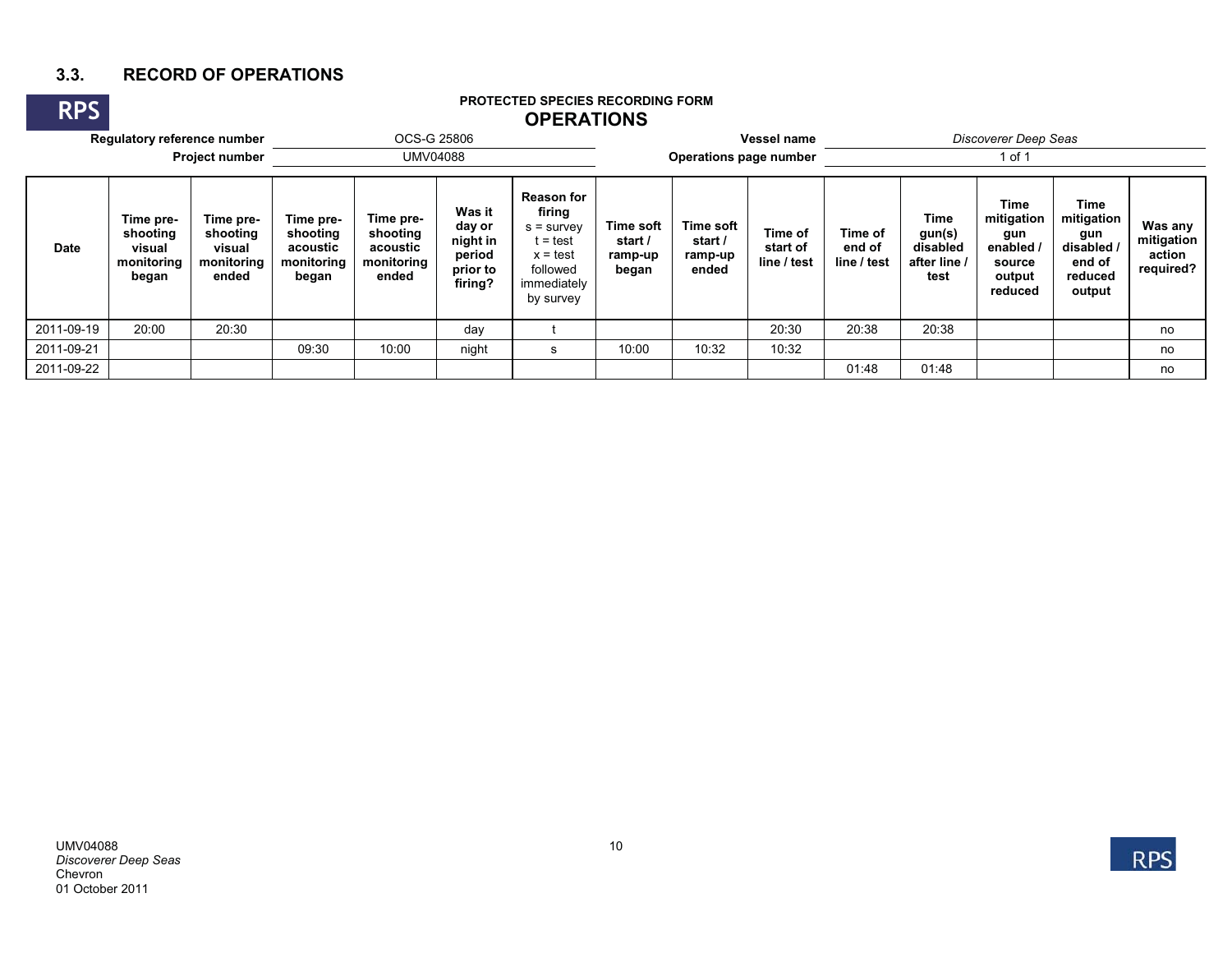## **3.3. RECORD OF OPERATIONS**

#### **RPSRegulatory reference number** OCS-G 25806 **Vessel name** *Discoverer Deep Seas* **Project number OMV04088 Operations page number Operations page number Operations in the late of 1 of 1 DateTime preshooting visual monitoring began Time preshooting visual monitoring ended Time preshooting acoustic monitoring began Time preshooting acoustic monitoring ended Was it day or night in period prior to firing? Reason for firing** s = survey  $t = test$  $x = test$ followed immediately by survey **Time soft start / ramp-up began Time soft start / ramp-up endedTime of start of line / test Time of end of line / testTime gun(s) disabled after line / testTime mitigation gun enabled / source output reduced Time mitigation gun disabled / end of reduced output Was any mitigation action required?** 2011-09-19 | 20:00 | 20:30 | | day | t | | 20:30 | 20:38 | 20:38 | | no 2011-09-21 09:30 10:00 night <sup>s</sup> 10:00 10:32 10:32 no 2011-09-2201:48 01:48 no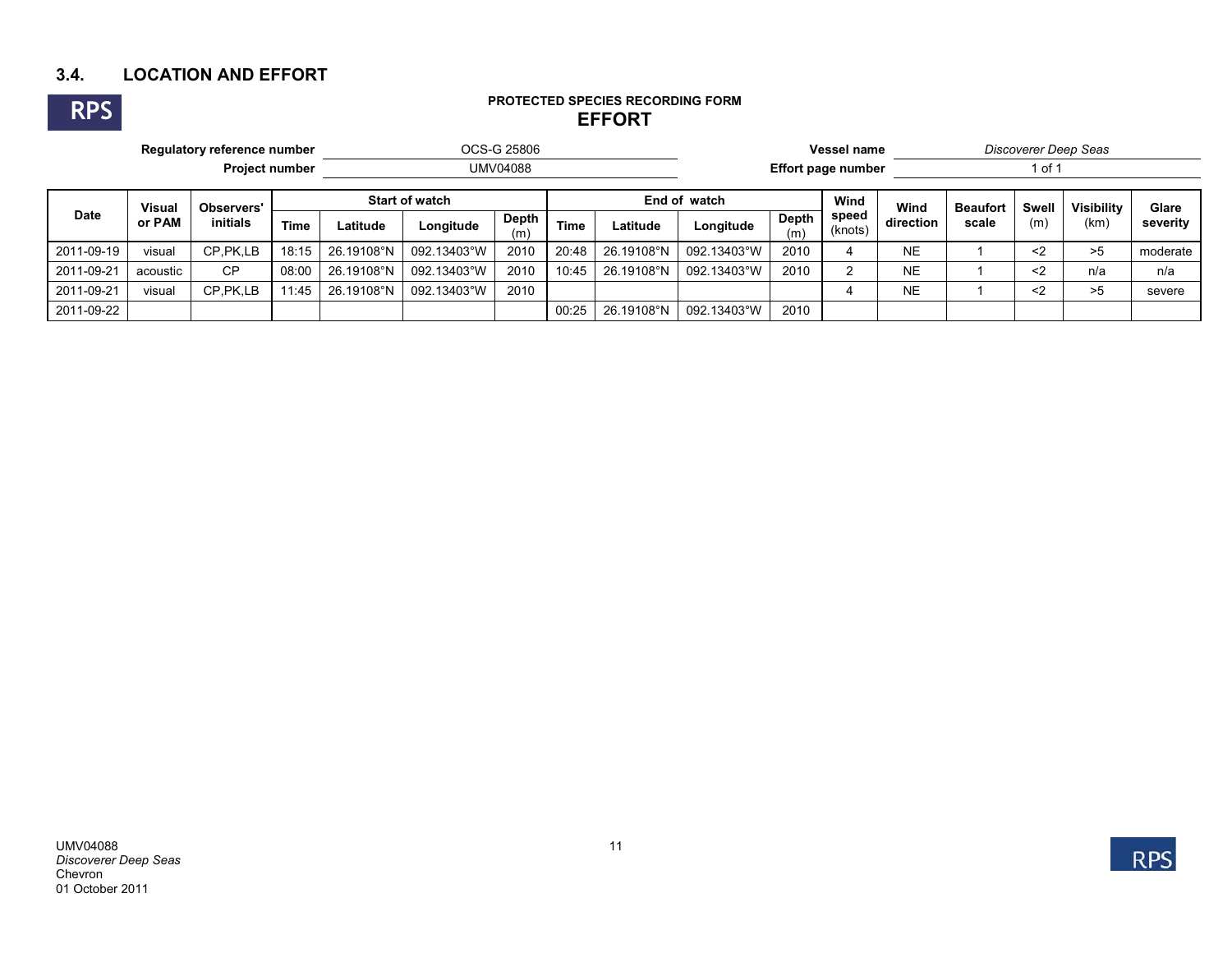## **3.4. LOCATION AND EFFORT**



#### **PROTECTED SPECIES RECORDING FORM EFFORT**

| Regulatory reference number |                         |                               |             | OCS-G 25806           |             |              |       |              | Vessel name               |              |                  |           | Discoverer Deep Seas |       |                   |          |  |
|-----------------------------|-------------------------|-------------------------------|-------------|-----------------------|-------------|--------------|-------|--------------|---------------------------|--------------|------------------|-----------|----------------------|-------|-------------------|----------|--|
| <b>Project number</b>       |                         |                               |             | <b>UMV04088</b>       |             |              |       |              | <b>Effort page number</b> |              |                  |           | l of 1               |       |                   |          |  |
| <b>Date</b>                 | <b>Visual</b><br>or PAM | Observers'<br><i>initials</i> |             | <b>Start of watch</b> |             |              |       | End of watch |                           |              | Wind             | Wind      | <b>Beaufort</b>      | Swell | <b>Visibility</b> | Glare    |  |
|                             |                         |                               | <b>Time</b> | Latitude              | Longitude   | Depth<br>(m) | Time  | Latitude     | Longitude                 | Depth<br>(m) | speed<br>(knots) | direction | scale                | (m)   | (km)              | severity |  |
| 2011-09-19                  | visual                  | CP.PK.LB                      | 18:15       | 26.19108°N            | 092.13403°W | 2010         | 20:48 | 26.19108°N   | 092.13403°W               | 2010         |                  | <b>NE</b> |                      | $2$   | >5                | moderate |  |
| 2011-09-21                  | acoustic                | <b>CP</b>                     | 08:00       | 26.19108°N            | 092.13403°W | 2010         | 10:45 | 26.19108°N   | 092.13403°W               | 2010         | ົ                | <b>NE</b> |                      | $2$   | n/a               | n/a      |  |
| 2011-09-21                  | visual                  | CP.PK.LB                      | 11:45       | 26.19108°N            | 092.13403°W | 2010         |       |              |                           |              |                  | <b>NE</b> |                      | $2$   | >5                | severe   |  |
| 2011-09-22                  |                         |                               |             |                       |             |              | 00:25 | 26.19108°N   | 092.13403°W               | 2010         |                  |           |                      |       |                   |          |  |